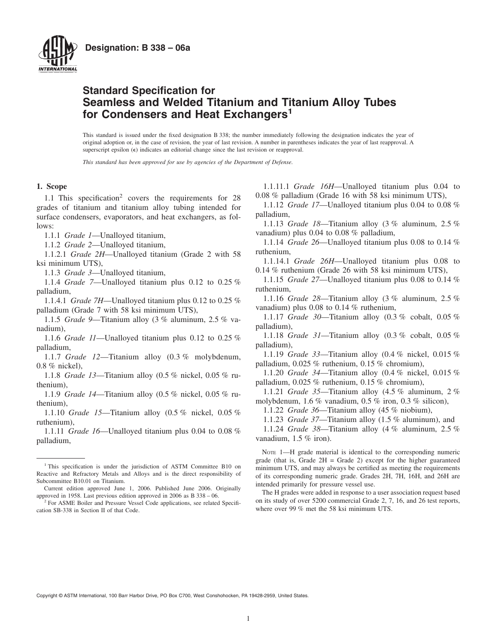

# **Standard Specification for Seamless and Welded Titanium and Titanium Alloy Tubes for Condensers and Heat Exchangers<sup>1</sup>**

This standard is issued under the fixed designation B 338; the number immediately following the designation indicates the year of original adoption or, in the case of revision, the year of last revision. A number in parentheses indicates the year of last reapproval. A superscript epsilon  $(\epsilon)$  indicates an editorial change since the last revision or reapproval.

*This standard has been approved for use by agencies of the Department of Defense.*

#### **1. Scope**

1.1 This specification<sup>2</sup> covers the requirements for 28 grades of titanium and titanium alloy tubing intended for surface condensers, evaporators, and heat exchangers, as follows:

1.1.1 *Grade 1*—Unalloyed titanium,

1.1.2 *Grade 2*—Unalloyed titanium,

1.1.2.1 *Grade 2H*—Unalloyed titanium (Grade 2 with 58 ksi minimum UTS),

1.1.3 *Grade 3*—Unalloyed titanium,

1.1.4 *Grade 7*—Unalloyed titanium plus 0.12 to 0.25 % palladium,

1.1.4.1 *Grade 7H*—Unalloyed titanium plus 0.12 to 0.25 % palladium (Grade 7 with 58 ksi minimum UTS),

1.1.5 *Grade 9*—Titanium alloy (3 % aluminum, 2.5 % vanadium),

1.1.6 *Grade 11*—Unalloyed titanium plus 0.12 to 0.25 % palladium,

1.1.7 *Grade 12*—Titanium alloy (0.3 % molybdenum, 0.8 % nickel),

1.1.8 *Grade 13*—Titanium alloy (0.5 % nickel, 0.05 % ruthenium),

1.1.9 *Grade 14*—Titanium alloy (0.5 % nickel, 0.05 % ruthenium),

1.1.10 *Grade 15*—Titanium alloy (0.5 % nickel, 0.05 % ruthenium),

1.1.11 *Grade 16*—Unalloyed titanium plus 0.04 to 0.08 % palladium,

<span id="page-0-0"></span>1.1.11.1 *Grade 16H*—Unalloyed titanium plus 0.04 to 0.08 % palladium (Grade 16 with 58 ksi minimum UTS),

1.1.12 *Grade 17*—Unalloyed titanium plus 0.04 to 0.08 % palladium,

1.1.13 *Grade 18*—Titanium alloy (3 % aluminum, 2.5 % vanadium) plus 0.04 to 0.08 % palladium,

1.1.14 *Grade 26*—Unalloyed titanium plus 0.08 to 0.14 % ruthenium,

1.1.14.1 *Grade 26H*—Unalloyed titanium plus 0.08 to 0.14 % ruthenium (Grade 26 with 58 ksi minimum UTS),

1.1.15 *Grade 27*—Unalloyed titanium plus 0.08 to 0.14 % ruthenium,

1.1.16 *Grade 28*—Titanium alloy (3 % aluminum, 2.5 % vanadium) plus 0.08 to 0.14 % ruthenium,

1.1.17 *Grade 30*—Titanium alloy (0.3 % cobalt, 0.05 % palladium),

1.1.18 *Grade 31*—Titanium alloy (0.3 % cobalt, 0.05 % palladium),

1.1.19 *Grade 33*—Titanium alloy (0.4 % nickel, 0.015 % palladium, 0.025 % ruthenium, 0.15 % chromium),

1.1.20 *Grade 34*—Titanium alloy (0.4 % nickel, 0.015 % palladium, 0.025 % ruthenium, 0.15 % chromium),

1.1.21 *Grade 35*—Titanium alloy (4.5 % aluminum, 2 % molybdenum, 1.6 % vanadium, 0.5 % iron, 0.3 % silicon),

1.1.22 *Grade 36*—Titanium alloy (45 % niobium),

1.1.23 *Grade 37*—Titanium alloy (1.5 % aluminum), and

1.1.24 *Grade 38*—Titanium alloy (4 % aluminum, 2.5 % vanadium, 1.5 % iron).

NOTE 1—H grade material is identical to the corresponding numeric grade (that is, Grade  $2H =$  Grade 2) except for the higher guaranteed minimum UTS, and may always be certified as meeting the requirements of its corresponding numeric grade. Grades 2H, 7H, 16H, and 26H are intended primarily for pressure vessel use.

The H grades were added in response to a user association request based on its study of over 5200 commercial Grade 2, 7, 16, and 26 test reports, where over 99 % met the 58 ksi minimum UTS.

Copyright © ASTM International, 100 Barr Harbor Drive, PO Box C700, West Conshohocken, PA 19428-2959, United States.

<sup>&</sup>lt;sup>1</sup> This specification is under the jurisdiction of ASTM Committee B10 on Reactive and Refractory Metals and Alloys and is the direct responsibility of Subcommittee B10.01 on Titanium.

Current edition approved June 1, 2006. Published June 2006. Originally approved in 1958. Last previous edition approved in 2006 as B 338 – 06.

<sup>2</sup> For ASME Boiler and Pressure Vessel Code applications, see related Specification SB-338 in Section II of that Code.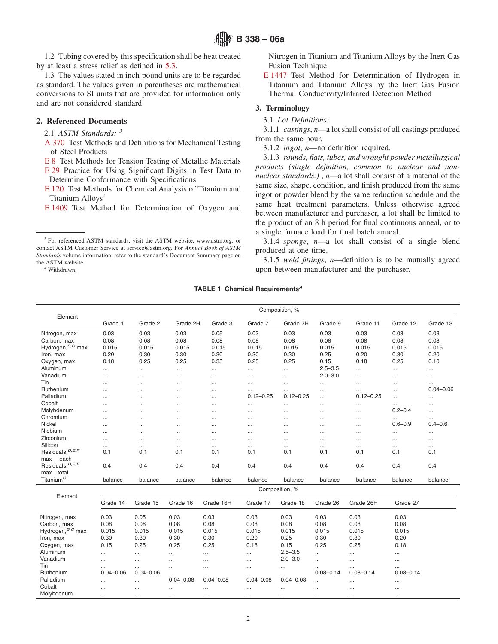1.2 Tubing covered by this specification shall be heat treated by at least a stress relief as defined in [5.3.](#page-2-0)

1.3 The values stated in inch-pound units are to be regarded as standard. The values given in parentheses are mathematical conversions to SI units that are provided for information only and are not considered standard.

# **2. Referenced Documents**

2.1 *ASTM Standards: <sup>3</sup>*

[A 370](#page-3-0) Test Methods and Definitions for Mechanical Testing of Steel Products

[E 8](#page-3-1) Test Methods for Tension Testing of Metallic Materials

[E 29](#page-6-0) Practice for Using Significant Digits in Test Data to Determine Conformance with Specifications

[E 120](#page-6-1) Test Methods for Chemical Analysis of Titanium and Titanium Alloys<sup>4</sup>

[E 1409](#page-6-2) Test Method for Determination of Oxygen and

<sup>3</sup> For referenced ASTM standards, visit the ASTM website, www.astm.org, or contact ASTM Customer Service at service@astm.org. For *Annual Book of ASTM Standards* volume information, refer to the standard's Document Summary page on the ASTM website.

<sup>4</sup> Withdrawn.

Nitrogen in Titanium and Titanium Alloys by the Inert Gas Fusion Technique

<span id="page-1-5"></span>[E 1447](#page-6-3) Test Method for Determination of Hydrogen in Titanium and Titanium Alloys by the Inert Gas Fusion Thermal Conductivity/Infrared Detection Method

#### **3. Terminology**

# 3.1 *Lot Definitions:*

3.1.1 *castings*, *n*—a lot shall consist of all castings produced from the same pour.

<span id="page-1-6"></span><span id="page-1-4"></span><span id="page-1-3"></span><span id="page-1-2"></span><span id="page-1-1"></span>3.1.2 *ingot*, *n*—no definition required.

3.1.3 *rounds, flats, tubes, and wrought powder metallurgical products (single definition, common to nuclear and nonnuclear standards.)* , *n*—a lot shall consist of a material of the same size, shape, condition, and finish produced from the same ingot or powder blend by the same reduction schedule and the same heat treatment parameters. Unless otherwise agreed between manufacturer and purchaser, a lot shall be limited to the product of an 8 h period for final continuous anneal, or to a single furnace load for final batch anneal.

3.1.4 *sponge*, *n*—a lot shall consist of a single blend produced at one time.

<span id="page-1-0"></span>3.1.5 *weld fittings*, *n*—definition is to be mutually agreed upon between manufacturer and the purchaser.

#### **TABLE 1 Chemical Requirements***<sup>A</sup>*

|                               | Composition, %            |                           |                           |                           |                   |                           |                           |                           |                           |                           |
|-------------------------------|---------------------------|---------------------------|---------------------------|---------------------------|-------------------|---------------------------|---------------------------|---------------------------|---------------------------|---------------------------|
| Element                       | Grade 1                   | Grade 2                   | Grade 2H                  | Grade 3                   | Grade 7           | Grade 7H                  | Grade 9                   | Grade 11                  | Grade 12                  | Grade 13                  |
| Nitrogen, max                 | 0.03                      | 0.03                      | 0.03                      | 0.05                      | 0.03              | 0.03                      | 0.03                      | 0.03                      | 0.03                      | 0.03                      |
| Carbon, max                   | 0.08                      | 0.08                      | 0.08                      | 0.08                      | 0.08              | 0.08                      | 0.08                      | 0.08                      | 0.08                      | 0.08                      |
| Hydrogen, $B, C$ max          | 0.015                     | 0.015                     | 0.015                     | 0.015                     | 0.015             | 0.015                     | 0.015                     | 0.015                     | 0.015                     | 0.015                     |
| Iron, max                     | 0.20                      | 0.30                      | 0.30                      | 0.30                      | 0.30              | 0.30                      | 0.25                      | 0.20                      | 0.30                      | 0.20                      |
| Oxygen, max                   | 0.18                      | 0.25                      | 0.25                      | 0.35                      | 0.25              | 0.25                      | 0.15                      | 0.18                      | 0.25                      | 0.10                      |
| Aluminum                      |                           | $\cdots$                  | $\cdots$                  | $\cdots$                  |                   |                           | $2.5 - 3.5$               |                           |                           |                           |
| Vanadium                      | $\cdots$                  | $\cdots$                  | $\cdots$                  | $\cdots$                  | $\ddotsc$         | $\cdots$                  | $2.0 - 3.0$               |                           | $\cdots$                  |                           |
| Tin                           |                           |                           |                           |                           |                   |                           |                           |                           |                           | $\cdots$                  |
| Ruthenium                     | $\cdots$                  | $\cdots$                  | $\cdots$                  | $\cdots$                  | $\cdots$          |                           | $\cdots$                  |                           | $\cdots$                  | $\cdots$<br>$0.04 - 0.06$ |
| Palladium                     | $\cdots$                  | $\cdots$                  | $\cdots$                  | $\cdots$                  | <br>$0.12 - 0.25$ | <br>$0.12 - 0.25$         | $\cdots$                  | $\cdots$<br>$0.12 - 0.25$ |                           |                           |
| Cobalt                        | $\cdots$                  | $\cdots$                  | $\cdots$                  | $\cdots$                  |                   |                           | $\cdots$                  |                           | $\ddotsc$                 | $\cdots$                  |
| Molybdenum                    | $\cdots$                  | $\cdots$                  | $\cdots$                  | $\cdots$                  | $\cdots$          |                           | $\cdots$                  | $\cdots$                  | $\cdots$<br>$0.2 - 0.4$   |                           |
| Chromium                      | $\cdots$                  |                           | $\cdots$                  | $\cdots$                  | $\cdots$          |                           | $\cdots$                  | $\cdots$                  |                           | .                         |
|                               | $\cdots$                  | $\cdots$                  | $\cdots$                  | $\cdots$                  | $\cdots$          |                           | $\cdots$                  |                           |                           | .                         |
| <b>Nickel</b>                 | $\cdots$                  | $\cdots$                  | $\cdots$                  | $\cdots$                  |                   |                           | $\cdots$                  | $\cdots$                  | $0.6 - 0.9$               | $0.4 - 0.6$               |
| Niobium                       | $\cdots$                  | $\cdots$                  | $\cdots$                  | $\cdots$                  |                   |                           |                           |                           |                           |                           |
| Zirconium                     | $\cdots$                  | $\cdots$                  | $\cdots$                  | $\cdots$                  |                   |                           |                           |                           |                           |                           |
| Silicon                       | $\cdots$                  | $\cdots$                  | $\cdots$                  | $\cdots$                  | $\cdots$          | $\cdots$                  | $\cdots$                  | $\cdots$                  | $\cdots$                  |                           |
| Residuals, <sup>D,E,F</sup>   | 0.1                       | 0.1                       | 0.1                       | 0.1                       | 0.1               | 0.1                       | 0.1                       | 0.1                       | 0.1                       | 0.1                       |
| each<br>max                   |                           |                           |                           |                           |                   |                           |                           |                           |                           |                           |
| Residuals, <sup>D, E, F</sup> | 0.4                       | 0.4                       | 0.4                       | 0.4                       | 0.4               | 0.4                       | 0.4                       | 0.4                       | 0.4                       | 0.4                       |
| max total                     |                           |                           |                           |                           |                   |                           |                           |                           |                           |                           |
| Titanium <sup>G</sup>         | balance                   | balance                   | balance                   | balance                   | balance           | balance                   | balance                   | balance                   | balance                   | balance                   |
| Element                       | Composition, %            |                           |                           |                           |                   |                           |                           |                           |                           |                           |
|                               | Grade 14                  | Grade 15                  | Grade 16                  | Grade 16H                 | Grade 17          | Grade 18                  | Grade 26                  | Grade 26H                 | Grade 27                  |                           |
| Nitrogen, max                 | 0.03                      | 0.05                      | 0.03                      | 0.03                      | 0.03              | 0.03                      | 0.03                      | 0.03                      | 0.03                      |                           |
| Carbon, max                   | 0.08                      | 0.08                      | 0.08                      | 0.08                      | 0.08              | 0.08                      | 0.08                      | 0.08                      | 0.08                      |                           |
| Hydrogen, <sup>B,C</sup> max  | 0.015                     | 0.015                     | 0.015                     | 0.015                     | 0.015             | 0.015                     | 0.015                     | 0.015                     | 0.015                     |                           |
| Iron, max                     | 0.30                      | 0.30                      | 0.30                      | 0.30                      | 0.20              | 0.25                      | 0.30                      | 0.30                      | 0.20                      |                           |
| Oxygen, max                   | 0.15                      | 0.25                      | 0.25                      | 0.25                      | 0.18              | 0.15                      | 0.25                      | 0.25                      | 0.18                      |                           |
| Aluminum                      | $\ddotsc$                 |                           |                           |                           |                   | $2.5 - 3.5$               |                           |                           |                           |                           |
| Vanadium                      |                           | $\cdots$                  | $\cdots$                  | $\ddotsc$<br>$\cdots$     | $\cdots$          | $2.0 - 3.0$               | $\cdots$<br>$\sim$        | $\cdots$                  | $\cdots$                  |                           |
| Tin                           | $\cdots$                  | $\cdots$                  | $\cdots$                  |                           | $\cdots$          |                           |                           | $\cdots$                  | $\cdots$                  |                           |
| Ruthenium                     | $\cdots$<br>$0.04 - 0.06$ | $\cdots$<br>$0.04 - 0.06$ | $\cdots$                  | $\cdots$                  | $\cdots$          | $\cdots$                  | $\cdots$<br>$0.08 - 0.14$ | $\cdots$<br>$0.08 - 0.14$ | $\cdots$<br>$0.08 - 0.14$ |                           |
| Palladium                     |                           |                           | $\cdots$<br>$0.04 - 0.08$ | $\cdots$<br>$0.04 - 0.08$ | <br>$0.04 - 0.08$ | $\cdots$<br>$0.04 - 0.08$ |                           |                           |                           |                           |
|                               | $\cdots$                  | $\cdots$                  |                           |                           |                   |                           | $\cdots$                  | $\cdots$                  | $\cdots$                  |                           |
| Cobalt                        | $\cdots$                  | $\cdots$                  |                           | $\cdots$                  | $\cdots$          | $\cdots$                  | $\ddotsc$                 | $\cdots$                  |                           |                           |
| Molybdenum                    | $\cdots$                  | $\cdots$                  | $\cdots$                  | $\cdots$                  | $\cdots$          | $\cdots$                  | $\cdots$                  | $\cdots$                  | $\cdots$                  |                           |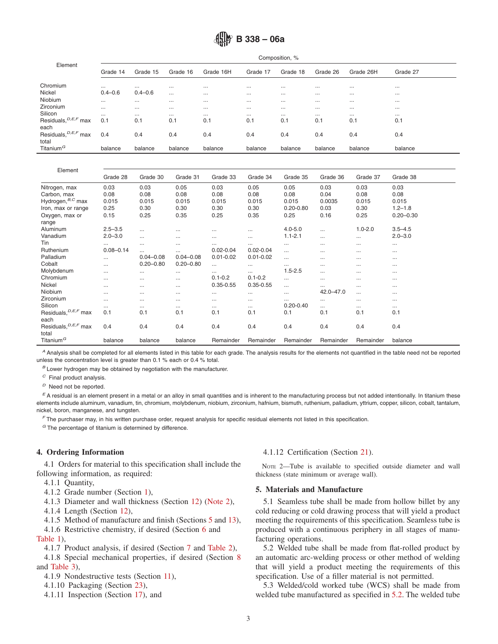# **B 338 – 06a**

| Element                           | Composition, % |             |          |           |          |          |          |           |          |
|-----------------------------------|----------------|-------------|----------|-----------|----------|----------|----------|-----------|----------|
|                                   | Grade 14       | Grade 15    | Grade 16 | Grade 16H | Grade 17 | Grade 18 | Grade 26 | Grade 26H | Grade 27 |
| Chromium                          | $\cdots$       | $\cdots$    | $\cdots$ | $\cdots$  | $\cdots$ | $\cdots$ | $\cdots$ | $\cdots$  | $\cdots$ |
| Nickel                            | $0.4 - 0.6$    | $0.4 - 0.6$ | $\cdots$ | $\cdots$  | $\cdots$ | $\cdots$ | $\cdots$ | $\cdots$  | $\cdots$ |
| Niobium                           | $\cdots$       | $\cdots$    | $\cdots$ | $\cdots$  | $\cdots$ | $\cdots$ | $\cdots$ | $\cdots$  | $\cdots$ |
| Zirconium                         | $\cdots$       | $\cdots$    | $\cdots$ | $\cdots$  | $\cdots$ | $\cdots$ | $\cdots$ | $\cdots$  | $\cdots$ |
| Silicon                           | $\cdots$       | $\cdots$    | $\cdots$ | $\cdots$  | $\cdots$ | $\cdots$ | $\cdots$ | $\cdots$  | $\cdots$ |
| Residuals, <sup>D, E, F</sup> max | 0.1            | 0.1         | 0.1      | 0.1       | 0.1      | 0.1      | 0.1      | 0.1       | 0.1      |
| each                              |                |             |          |           |          |          |          |           |          |
| Residuals, <sup>D, E, F</sup> max | 0.4            | 0.4         | 0.4      | 0.4       | 0.4      | 0.4      | 0.4      | 0.4       | 0.4      |
| total                             |                |             |          |           |          |          |          |           |          |
| Titanium <sup>G</sup>             | balance        | balance     | balance  | balance   | balance  | balance  | balance  | balance   | balance  |

| Element                           |               |               |               |               |               |               |               |             |               |
|-----------------------------------|---------------|---------------|---------------|---------------|---------------|---------------|---------------|-------------|---------------|
|                                   | Grade 28      | Grade 30      | Grade 31      | Grade 33      | Grade 34      | Grade 35      | Grade 36      | Grade 37    | Grade 38      |
| Nitrogen, max                     | 0.03          | 0.03          | 0.05          | 0.03          | 0.05          | 0.05          | 0.03          | 0.03        | 0.03          |
| Carbon, max                       | 0.08          | 0.08          | 0.08          | 0.08          | 0.08          | 0.08          | 0.04          | 0.08        | 0.08          |
| Hydrogen, B,C max                 | 0.015         | 0.015         | 0.015         | 0.015         | 0.015         | 0.015         | 0.0035        | 0.015       | 0.015         |
| Iron, max or range                | 0.25          | 0.30          | 0.30          | 0.30          | 0.30          | $0.20 - 0.80$ | 0.03          | 0.30        | $1.2 - 1.8$   |
| Oxygen, max or<br>range           | 0.15          | 0.25          | 0.35          | 0.25          | 0.35          | 0.25          | 0.16          | 0.25        | $0.20 - 0.30$ |
| Aluminum                          | $2.5 - 3.5$   | $\cdots$      |               |               | $\cdots$      | $4.0 - 5.0$   | $\cdots$      | $1.0 - 2.0$ | $3.5 - 4.5$   |
| Vanadium                          | $2.0 - 3.0$   |               | $\cdots$      | $\cdots$      | $\cdots$      | $1.1 - 2.1$   | $\cdots$      | $\cdots$    | $2.0 - 3.0$   |
| Tin                               | $\cdots$      | $\cdots$      | $\cdots$      | $\cdots$      | $\cdots$      | $\cdots$      | $\cdots$      | $\cdots$    | $\cdots$      |
| Ruthenium                         | $0.08 - 0.14$ |               |               | $0.02 - 0.04$ | $0.02 - 0.04$ | $\cdots$      | $\cdots$      | $\cdots$    | $\cdots$      |
| Palladium                         |               | $0.04 - 0.08$ | $0.04 - 0.08$ | $0.01 - 0.02$ | $0.01 - 0.02$ | $\cdots$      | $\cdots$      | $\cdots$    | $\cdots$      |
| Cobalt                            | $\cdots$      | $0.20 - 0.80$ | $0.20 - 0.80$ | $\cdots$      | $\cdots$      | $\cdots$      | $\cdots$      | $\cdots$    | $\cdots$      |
| Molybdenum                        |               |               |               | $\cdots$      | $\cdots$      | $1.5 - 2.5$   | $\cdots$      | $\cdots$    | $\cdots$      |
| Chromium                          | $\cdots$      | $\cdots$      | $\cdots$      | $0.1 - 0.2$   | $0.1 - 0.2$   | $\cdots$      | $\cdots$      | $\cdots$    | $\cdots$      |
| Nickel                            | $\cdots$      | $\cdots$      | $\cdots$      | $0.35 - 0.55$ | $0.35 - 0.55$ | $\cdots$      | $\cdots$      | $\cdots$    | $\cdots$      |
| Niobium                           | $\cdots$      | $\cdots$      | $\cdots$      | $\cdots$      | $\cdots$      | $\cdots$      | $42.0 - 47.0$ | $\cdots$    | $\cdots$      |
| Zirconium                         |               |               | $\cdots$      | $\cdots$      | $\cdots$      | $\cdots$      | $\cdots$      | $\cdots$    | $\cdots$      |
| Silicon                           | $\cdots$      |               |               | $\cdots$      | $\cdots$      | $0.20 - 0.40$ | $\cdots$      | $\cdots$    | $\cdots$      |
| Residuals, <sup>D, E, F</sup> max | 0.1           | 0.1           | 0.1           | 0.1           | 0.1           | 0.1           | 0.1           | 0.1         | 0.1           |
| each                              |               |               |               |               |               |               |               |             |               |
| Residuals, <sup>D, E, F</sup> max | 0.4           | 0.4           | 0.4           | 0.4           | 0.4           | 0.4           | 0.4           | 0.4         | 0.4           |
| total                             |               |               |               |               |               |               |               |             |               |
| Titanium <sup>G</sup>             | balance       | balance       | balance       | Remainder     | Remainder     | Remainder     | Remainder     | Remainder   | balance       |

*<sup>A</sup>* Analysis shall be completed for all elements listed in this table for each grade. The analysis results for the elements not quantified in the table need not be reported unless the concentration level is greater than 0.1 % each or 0.4 % total.

*<sup>B</sup>* Lower hydrogen may be obtained by negotiation with the manufacturer.

*<sup>C</sup>* Final product analysis.

*<sup>D</sup>* Need not be reported.

*<sup>E</sup>* A residual is an element present in a metal or an alloy in small quantities and is inherent to the manufacturing process but not added intentionally. In titanium these elements include aluminum, vanadium, tin, chromium, molybdenum, niobium, zirconium, hafnium, bismuth, ruthenium, palladium, yttrium, copper, silicon, cobalt, tantalum, nickel, boron, manganese, and tungsten.

*<sup>F</sup>* The purchaser may, in his written purchase order, request analysis for specific residual elements not listed in this specification.

*<sup>G</sup>* The percentage of titanium is determined by difference.

#### **4. Ordering Information**

4.1 Orders for material to this specification shall include the following information, as required:

- 4.1.1 Quantity,
- 4.1.2 Grade number (Section [1\)](#page-0-0),
- 4.1.3 Diameter and wall thickness (Section 12) [\(Note 2\)](#page-2-1),
- 4.1.4 Length (Section 12),
- 4.1.5 Method of manufacture and finish (Sections 5 and 13),

4.1.6 Restrictive chemistry, if desired (Section 6 and

[Table 1\)](#page-1-0),

4.1.7 Product analysis, if desired (Section [7](#page-3-2) and [Table 2\)](#page-3-3),

4.1.8 Special mechanical properties, if desired (Section [8](#page-3-4) and [Table 3\)](#page-4-0),

4.1.9 Nondestructive tests (Section [11\)](#page-4-1),

- 4.1.10 Packaging (Section 23),
- 4.1.11 Inspection (Section 17), and

#### <span id="page-2-1"></span>4.1.12 Certification (Section 21).

NOTE 2—Tube is available to specified outside diameter and wall thickness (state minimum or average wall).

# **5. Materials and Manufacture**

<span id="page-2-2"></span>5.1 Seamless tube shall be made from hollow billet by any cold reducing or cold drawing process that will yield a product meeting the requirements of this specification. Seamless tube is produced with a continuous periphery in all stages of manufacturing operations.

<span id="page-2-0"></span>5.2 Welded tube shall be made from flat-rolled product by an automatic arc-welding process or other method of welding that will yield a product meeting the requirements of this specification. Use of a filler material is not permitted.

5.3 Welded/cold worked tube (WCS) shall be made from welded tube manufactured as specified in [5.2.](#page-2-2) The welded tube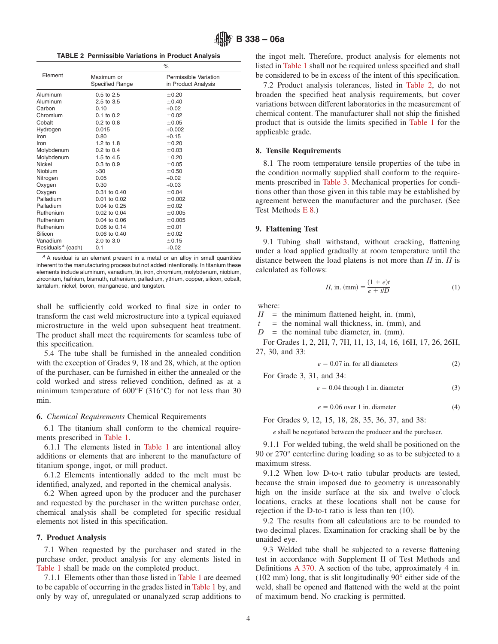**TABLE 2 Permissible Variations in Product Analysis**

|                               |                               | $\%$                                         |
|-------------------------------|-------------------------------|----------------------------------------------|
| Element                       | Maximum or<br>Specified Range | Permissible Variation<br>in Product Analysis |
| Aluminum                      | $0.5$ to $2.5$                | ±0.20                                        |
| Aluminum                      | $2.5$ to $3.5$                | ±0.40                                        |
| Carbon                        | 0.10                          | $+0.02$                                      |
| Chromium                      | $0.1$ to $0.2$                | ±0.02                                        |
| Cobalt                        | $0.2 \text{ to } 0.8$         | ±0.05                                        |
| Hydrogen                      | 0.015                         | $+0.002$                                     |
| Iron                          | 0.80                          | $+0.15$                                      |
| Iron                          | 1.2 to $1.8$                  | ±0.20                                        |
| Molybdenum                    | $0.2$ to $0.4$                | ±0.03                                        |
| Molybdenum                    | 1.5 to 4.5                    | ±0.20                                        |
| Nickel                        | 0.3 to 0.9                    | ±0.05                                        |
| Niobium                       | >30                           | ±0.50                                        |
| Nitrogen                      | 0.05                          | $+0.02$                                      |
| Oxygen                        | 0.30                          | $+0.03$                                      |
| Oxygen                        | $0.31$ to $0.40$              | ±0.04                                        |
| Palladium                     | 0.01 to 0.02                  | ±0.002                                       |
| Palladium                     | 0.04 to 0.25                  | ±0.02                                        |
| Ruthenium                     | 0.02 to 0.04                  | ±0.005                                       |
| Ruthenium                     | $0.04$ to $0.06$              | ±0.005                                       |
| Ruthenium                     | $0.08$ to $0.14$              | ±0.01                                        |
| Silicon                       | 0.06 to 0.40                  | ±0.02                                        |
| Vanadium                      | 2.0 to 3.0                    | ±0.15                                        |
| Residuals <sup>A</sup> (each) | 0.1                           | $+0.02$                                      |

*<sup>A</sup>* A residual is an element present in a metal or an alloy in small quantities inherent to the manufacturing process but not added intentionally. In titanium these elements include aluminum, vanadium, tin, iron, chromium, molybdenum, niobium, zirconium, hafnium, bismuth, ruthenium, palladium, yttrium, copper, silicon, cobalt, tantalum, nickel, boron, manganese, and tungsten.

shall be sufficiently cold worked to final size in order to transform the cast weld microstructure into a typical equiaxed microstructure in the weld upon subsequent heat treatment. The product shall meet the requirements for seamless tube of this specification.

5.4 The tube shall be furnished in the annealed condition with the exception of Grades 9, 18 and 28, which, at the option of the purchaser, can be furnished in either the annealed or the cold worked and stress relieved condition, defined as at a minimum temperature of 600°F (316°C) for not less than 30 min.

#### **6.** *Chemical Requirements* Chemical Requirements

6.1 The titanium shall conform to the chemical requirements prescribed in [Table 1.](#page-1-0)

6.1.1 The elements listed in [Table 1](#page-1-0) are intentional alloy additions or elements that are inherent to the manufacture of titanium sponge, ingot, or mill product.

6.1.2 Elements intentionally added to the melt must be identified, analyzed, and reported in the chemical analysis.

6.2 When agreed upon by the producer and the purchaser and requested by the purchaser in the written purchase order, chemical analysis shall be completed for specific residual elements not listed in this specification.

#### **7. Product Analysis**

7.1 When requested by the purchaser and stated in the purchase order, product analysis for any elements listed in [Table 1](#page-1-0) shall be made on the completed product.

7.1.1 Elements other than those listed in [Table 1](#page-1-0) are deemed to be capable of occurring in the grades listed in [Table 1](#page-1-0) by, and only by way of, unregulated or unanalyzed scrap additions to <span id="page-3-3"></span>the ingot melt. Therefore, product analysis for elements not listed in [Table 1](#page-1-0) shall not be required unless specified and shall be considered to be in excess of the intent of this specification.

7.2 Product analysis tolerances, listed in [Table 2,](#page-3-3) do not broaden the specified heat analysis requirements, but cover variations between different laboratories in the measurement of chemical content. The manufacturer shall not ship the finished product that is outside the limits specified in [Table 1](#page-1-0) for the applicable grade.

# <span id="page-3-7"></span><span id="page-3-4"></span>**8. Tensile Requirements**

8.1 The room temperature tensile properties of the tube in the condition normally supplied shall conform to the requirements prescribed in [Table 3.](#page-4-0) Mechanical properties for conditions other than those given in this table may be established by agreement between the manufacturer and the purchaser. (See Test Methods [E 8.](#page-1-1))

#### <span id="page-3-5"></span><span id="page-3-1"></span>**9. Flattening Test**

9.1 Tubing shall withstand, without cracking, flattening under a load applied gradually at room temperature until the distance between the load platens is not more than *H* in. *H* is calculated as follows:

*H*, in. (mm) = 
$$
\frac{(1 + e)t}{e + t/D}
$$
 (1)

where:

 $H =$  the minimum flattened height, in. (mm),

 $=$  the nominal wall thickness, in. (mm), and

 $D =$  the nominal tube diameter, in. (mm).

For Grades 1, 2, 2H, 7, 7H, 11, 13, 14, 16, 16H, 17, 26, 26H, 27, 30, and 33:

$$
e = 0.07
$$
 in. for all diameters (2)

For Grade 3, 31, and 34:

 $e = 0.04$  through 1 in. diameter (3)

<span id="page-3-2"></span>
$$
e = 0.06 \text{ over } 1 \text{ in. diameter} \tag{4}
$$

For Grades 9, 12, 15, 18, 28, 35, 36, 37, and 38:

*e* shall be negotiated between the producer and the purchaser.

9.1.1 For welded tubing, the weld shall be positioned on the 90 or 270° centerline during loading so as to be subjected to a maximum stress.

9.1.2 When low D-to-t ratio tubular products are tested, because the strain imposed due to geometry is unreasonably high on the inside surface at the six and twelve o'clock locations, cracks at these locations shall not be cause for rejection if the D-to-t ratio is less than ten (10).

<span id="page-3-6"></span>9.2 The results from all calculations are to be rounded to two decimal places. Examination for cracking shall be by the unaided eye.

<span id="page-3-0"></span>9.3 Welded tube shall be subjected to a reverse flattening test in accordance with Supplement II of Test Methods and Definitions [A 370.](#page-6-4) A section of the tube, approximately 4 in. (102 mm) long, that is slit longitudinally 90° either side of the weld, shall be opened and flattened with the weld at the point of maximum bend. No cracking is permitted.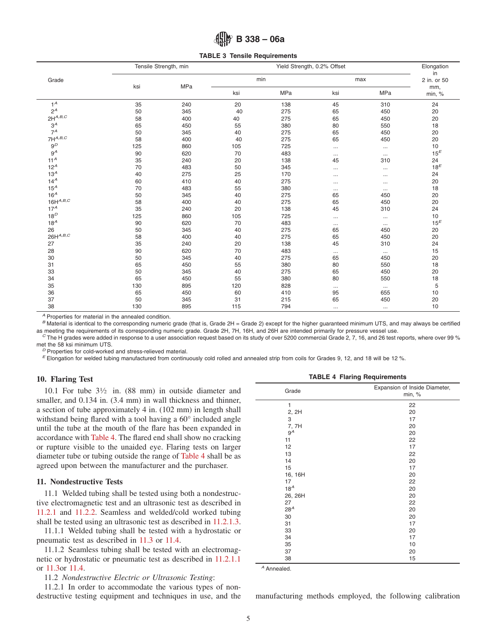# <span id="page-4-0"></span>**B 338 – 06a**

**TABLE 3 Tensile Requirements**

|                        |     | Tensile Strength, min |     | Yield Strength, 0.2% Offset |          |            |                 |
|------------------------|-----|-----------------------|-----|-----------------------------|----------|------------|-----------------|
| Grade                  |     |                       |     | min                         |          | max        |                 |
|                        | ksi | MPa                   | ksi | <b>MPa</b>                  | ksi      | <b>MPa</b> | mm,<br>min, %   |
| $1^A$                  | 35  | 240                   | 20  | 138                         | 45       | 310        | 24              |
| $2^A$                  | 50  | 345                   | 40  | 275                         | 65       | 450        | 20              |
| $2\mathsf{H}^{A,B,C}$  | 58  | 400                   | 40  | 275                         | 65       | 450        | 20              |
| $3^A$                  | 65  | 450                   | 55  | 380                         | 80       | 550        | 18              |
| $7^A$                  | 50  | 345                   | 40  | 275                         | 65       | 450        | 20              |
| $7H^{A,B,C}$           | 58  | 400                   | 40  | 275                         | 65       | 450        | 20              |
| $9^D$                  | 125 | 860                   | 105 | 725                         | $\cdots$ | $\ldots$   | 10              |
| $9^A$                  | 90  | 620                   | 70  | 483                         | $\cdots$ | $\cdots$   | 15 <sup>E</sup> |
| 11 <sup>A</sup>        | 35  | 240                   | 20  | 138                         | 45       | 310        | 24              |
| 12 <sup>A</sup>        | 70  | 483                   | 50  | 345                         |          | $\cdots$   | $18^E$          |
| 13 <sup>A</sup>        | 40  | 275                   | 25  | 170                         | $\cdots$ | $\cdots$   | 24              |
| 14 <sup>A</sup>        | 60  | 410                   | 40  | 275                         | $\cdots$ | $\cdots$   | 20              |
| $15^A$                 | 70  | 483                   | 55  | 380                         | $\cdots$ | $\cdots$   | 18              |
| 16 <sup>A</sup>        | 50  | 345                   | 40  | 275                         | 65       | 450        | 20              |
| $16H^{A,B,C}$          | 58  | 400                   | 40  | 275                         | 65       | 450        | 20              |
| $17^A$                 | 35  | 240                   | 20  | 138                         | 45       | 310        | 24              |
| $18^D$                 | 125 | 860                   | 105 | 725                         | $\cdots$ | $\cdots$   | 10              |
| $18^A$                 | 90  | 620                   | 70  | 483                         | $\ldots$ | $\cdots$   | $15^E$          |
| 26                     | 50  | 345                   | 40  | 275                         | 65       | 450        | 20              |
| $26\mathsf{H}^{A,B,C}$ | 58  | 400                   | 40  | 275                         | 65       | 450        | 20              |
| 27                     | 35  | 240                   | 20  | 138                         | 45       | 310        | 24              |
| 28                     | 90  | 620                   | 70  | 483                         | $\cdots$ | $\cdots$   | 15              |
| 30                     | 50  | 345                   | 40  | 275                         | 65       | 450        | 20              |
| 31                     | 65  | 450                   | 55  | 380                         | 80       | 550        | 18              |
| 33                     | 50  | 345                   | 40  | 275                         | 65       | 450        | 20              |
| 34                     | 65  | 450                   | 55  | 380                         | 80       | 550        | 18              |
| 35                     | 130 | 895                   | 120 | 828                         | $\cdots$ | $\cdots$   | 5               |
| 36                     | 65  | 450                   | 60  | 410                         | 95       | 655        | 10              |
| 37                     | 50  | 345                   | 31  | 215                         | 65       | 450        | 20              |
| 38                     | 130 | 895                   | 115 | 794                         | $\cdots$ | $\cdots$   | 10              |

*<sup>A</sup>* Properties for material in the annealed condition.

*B* Material is identical to the corresponding numeric grade (that is, Grade 2H = Grade 2) except for the higher guaranteed minimum UTS, and may always be certified as meeting the requirements of its corresponding numeric

 $\degree$  The H grades were added in response to a user association request based on its study of over 5200 commercial Grade 2, 7, 16, and 26 test reports, where over 99 % met the 58 ksi minimum UTS.

<sup>D</sup> Properties for cold-worked and stress-relieved material.<br><sup>E</sup> Elongation for welded tubing manufactured from continuously cold rolled and annealed strip from coils for Grades 9, 12, and 18 will be 12 %.

#### **10. Flaring Test**

10.1 For tube 31⁄2 in. (88 mm) in outside diameter and smaller, and  $0.134$  in.  $(3.4 \text{ mm})$  in wall thickness and thinner, a section of tube approximately 4 in. (102 mm) in length shall withstand being flared with a tool having a 60° included angle until the tube at the mouth of the flare has been expanded in accordance with [Table 4.](#page-4-2) The flared end shall show no cracking or rupture visible to the unaided eye. Flaring tests on larger diameter tube or tubing outside the range of [Table 4](#page-4-2) shall be as agreed upon between the manufacturer and the purchaser.

# **11. Nondestructive Tests**

11.1 Welded tubing shall be tested using both a nondestructive electromagnetic test and an ultrasonic test as described in [11.2.1](#page-4-3) and [11.2.2.](#page-5-0) Seamless and welded/cold worked tubing shall be tested using an ultrasonic test as described in [11.2.1.3.](#page-5-1)

11.1.1 Welded tubing shall be tested with a hydrostatic or pneumatic test as described in [11.3](#page-5-2) or [11.4.](#page-5-3)

11.1.2 Seamless tubing shall be tested with an electromagnetic or hydrostatic or pneumatic test as described in [11.2.1.1](#page-5-4) or [11.3o](#page-5-2)r [11.4.](#page-5-3)

11.2 *Nondestructive Electric or Ultrasonic Testing*:

11.2.1 In order to accommodate the various types of nondestructive testing equipment and techniques in use, and the manufacturing methods employed, the following calibration

<span id="page-4-5"></span><span id="page-4-4"></span><span id="page-4-1"></span>

<span id="page-4-2"></span>

| Grade           | Expansion of Inside Diameter,<br>min, % |
|-----------------|-----------------------------------------|
| 1               | 22                                      |
| 2, 2H           | 20                                      |
| 3               | 17                                      |
| 7, 7H           | 20                                      |
| $9^A$           | 20                                      |
| 11              | 22                                      |
| 12              | 17                                      |
| 13              | 22                                      |
| 14              | 20                                      |
| 15              | 17                                      |
| 16, 16H         | 20                                      |
| 17              | 22                                      |
| 18 <sup>A</sup> | 20                                      |
| 26, 26H         | 20                                      |
| 27              | 22                                      |
| 28 <sup>A</sup> | 20                                      |
| 30              | 20                                      |
| 31              | 17                                      |
| 33              | 20                                      |
| 34              | 17                                      |
| 35              | 10                                      |
| 37              | 20                                      |
| 38              | 15                                      |

<span id="page-4-3"></span>*<sup>A</sup>* Annealed.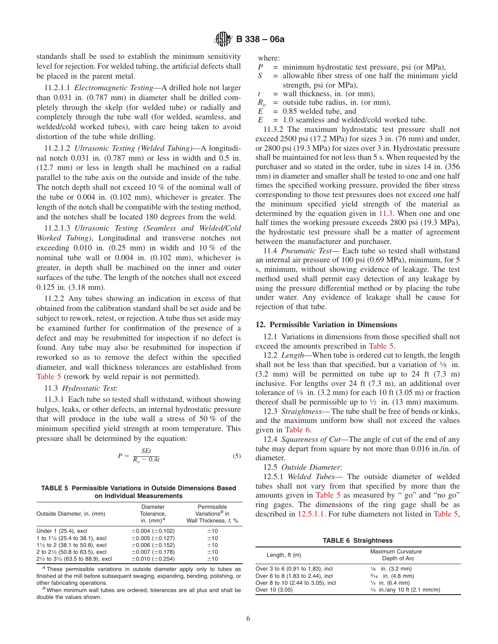standards shall be used to establish the minimum sensitivity level for rejection. For welded tubing, the artificial defects shall be placed in the parent metal.

11.2.1.1 *Electromagnetic Testing*—A drilled hole not larger than 0.031 in. (0.787 mm) in diameter shall be drilled completely through the skelp (for welded tube) or radially and completely through the tube wall (for welded, seamless, and welded/cold worked tubes), with care being taken to avoid distortion of the tube while drilling.

11.2.1.2 *Ultrasonic Testing (Welded Tubing)*—A longitudinal notch 0.031 in. (0.787 mm) or less in width and 0.5 in. (12.7 mm) or less in length shall be machined on a radial parallel to the tube axis on the outside and inside of the tube. The notch depth shall not exceed 10 % of the nominal wall of the tube or 0.004 in. (0.102 mm), whichever is greater. The length of the notch shall be compatible with the testing method, and the notches shall be located 180 degrees from the weld.

11.2.1.3 *Ultrasonic Testing (Seamless and Welded/Cold Worked Tubing)*, Longitudinal and transverse notches not exceeding  $0.010$  in.  $(0.25 \text{ mm})$  in width and  $10\%$  of the nominal tube wall or 0.004 in. (0.102 mm), whichever is greater, in depth shall be machined on the inner and outer surfaces of the tube. The length of the notches shall not exceed 0.125 in. (3.18 mm).

11.2.2 Any tubes showing an indication in excess of that obtained from the calibration standard shall be set aside and be subject to rework, retest, or rejection. A tube thus set aside may be examined further for confirmation of the presence of a defect and may be resubmitted for inspection if no defect is found. Any tube may also be resubmitted for inspection if reworked so as to remove the defect within the specified diameter, and wall thickness tolerances are established from [Table 5](#page-5-5) (rework by weld repair is not permitted).

#### 11.3 *Hydrostatic Test*:

11.3.1 Each tube so tested shall withstand, without showing bulges, leaks, or other defects, an internal hydrostatic pressure that will produce in the tube wall a stress of 50 % of the minimum specified yield strength at room temperature. This pressure shall be determined by the equation:

$$
P = \frac{SEt}{R_o - 0.4t} \tag{5}
$$

**TABLE 5 Permissible Variations in Outside Dimensions Based on Individual Measurements**

| Outside Diameter, in. (mm)        | Diameter<br>Tolerance.<br>in. $(mm)^A$ | Permissible<br>Variations <sup>B</sup> in<br>Wall Thickness. t. % |
|-----------------------------------|----------------------------------------|-------------------------------------------------------------------|
| Under 1 (25.4), excl              | $\pm 0.004$ ( $\pm 0.102$ )            | ±10                                                               |
| 1 to 11/2 (25.4 to 38.1), excl    | ±0.005(±0.127)                         | ±10                                                               |
| 11/2 to 2 (38.1 to 50.8), excl    | $\pm 0.006$ ( $\pm 0.152$ )            | ±10                                                               |
| 2 to 21/2 (50.8 to 63.5), excl    | $±0.007$ ( $±0.178$ )                  | ±10                                                               |
| 21/2 to 31/2 (63.5 to 88.9), excl | $\pm 0.010$ ( $\pm 0.254$ )            | ±10                                                               |

*<sup>A</sup>* These permissible variations in outside diameter apply only to tubes as finished at the mill before subsequent swaging, expanding, bending, polishing, or other fabricating operations. *<sup>B</sup>* When minimum wall tubes are ordered, tolerances are all plus and shall be

double the values shown.

where:

- *P* = minimum hydrostatic test pressure, psi (or MPa),<br> $S =$  allowable fiber stress of one half the minimum vi
- <span id="page-5-4"></span>= allowable fiber stress of one half the minimum yield strength, psi (or MPa),
- $t =$  wall thickness, in. (or mm),
- $R_o$  = outside tube radius, in. (or mm),<br> $E = 0.85$  welded tube, and
- *E* = 0.85 welded tube, and
- *E* = 1.0 seamless and welded/cold worked tube.

11.3.2 The maximum hydrostatic test pressure shall not exceed 2500 psi (17.2 MPa) for sizes 3 in. (76 mm) and under, or 2800 psi (19.3 MPa) for sizes over 3 in. Hydrostatic pressure shall be maintained for not less than 5 s. When requested by the purchaser and so stated in the order, tube in sizes 14 in. (356 mm) in diameter and smaller shall be tested to one and one half times the specified working pressure, provided the fiber stress corresponding to those test pressures does not exceed one half the minimum specified yield strength of the material as determined by the equation given in [11.3.](#page-5-2) When one and one half times the working pressure exceeds 2800 psi (19.3 MPa), the hydrostatic test pressure shall be a matter of agreement between the manufacturer and purchaser.

<span id="page-5-3"></span><span id="page-5-1"></span><span id="page-5-0"></span>11.4 *Pneumatic Test*— Each tube so tested shall withstand an internal air pressure of 100 psi (0.69 MPa), minimum, for 5 s, minimum, without showing evidence of leakage. The test method used shall permit easy detection of any leakage by using the pressure differential method or by placing the tube under water. Any evidence of leakage shall be cause for rejection of that tube.

# **12. Permissible Variation in Dimensions**

12.1 Variations in dimensions from those specified shall not exceed the amounts prescribed in [Table 5.](#page-5-5)

<span id="page-5-2"></span>12.2 *Length*—When tube is ordered cut to length, the length shall not be less than that specified, but a variation of  $\frac{1}{8}$  in. (3.2 mm) will be permitted on tube up to 24 ft (7.3 m) inclusive. For lengths over 24 ft (7.3 m), an additional over tolerance of  $\frac{1}{8}$  in. (3.2 mm) for each 10 ft (3.05 m) or fraction thereof shall be permissible up to  $\frac{1}{2}$  in. (13 mm) maximum.

12.3 *Straightness*— The tube shall be free of bends or kinks, and the maximum uniform bow shall not exceed the values given in [Table 6.](#page-5-6)

12.4 *Squareness of Cut*—The angle of cut of the end of any tube may depart from square by not more than 0.016 in./in. of diameter.

12.5 *Outside Diameter*:

12.5.1 *Welded Tubes*— The outside diameter of welded tubes shall not vary from that specified by more than the amounts given in [Table 5](#page-5-5) as measured by " go" and "no go" ring gages. The dimensions of the ring gage shall be as described in [12.5.1.1.](#page-6-5) For tube diameters not listed in [Table 5,](#page-5-5)

<span id="page-5-5"></span>**TABLE 6 Straightness**

<span id="page-5-6"></span>

| Length, $ft(m)$                   | Maximum Curvature<br>Depth of Arc      |  |  |  |
|-----------------------------------|----------------------------------------|--|--|--|
| Over 3 to 6 (0.91 to 1.83), incl  | $\frac{1}{8}$ in. (3.2 mm)             |  |  |  |
| Over 6 to 8 (1.83 to 2.44), incl  | $\frac{3}{16}$ in. (4.8 mm)            |  |  |  |
| Over 8 to 10 (2.44 to 3.05), incl | $\frac{1}{4}$ in. (6.4 mm)             |  |  |  |
| Over 10 (3.05)                    | $\frac{1}{4}$ in /any 10 ft (2.1 mm/m) |  |  |  |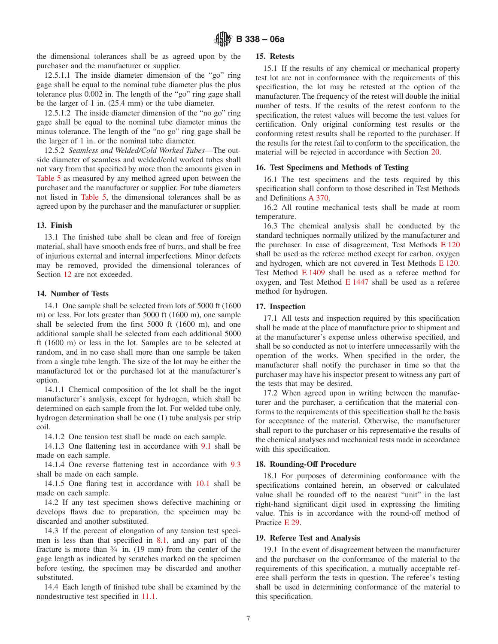the dimensional tolerances shall be as agreed upon by the purchaser and the manufacturer or supplier.

12.5.1.1 The inside diameter dimension of the "go" ring gage shall be equal to the nominal tube diameter plus the plus tolerance plus 0.002 in. The length of the "go" ring gage shall be the larger of 1 in. (25.4 mm) or the tube diameter.

12.5.1.2 The inside diameter dimension of the "no go" ring gage shall be equal to the nominal tube diameter minus the minus tolerance. The length of the "no go" ring gage shall be the larger of 1 in. or the nominal tube diameter.

12.5.2 *Seamless and Welded/Cold Worked Tubes*—The outside diameter of seamless and welded/cold worked tubes shall not vary from that specified by more than the amounts given in [Table 5](#page-5-5) as measured by any method agreed upon between the purchaser and the manufacturer or supplier. For tube diameters not listed in [Table 5,](#page-5-5) the dimensional tolerances shall be as agreed upon by the purchaser and the manufacturer or supplier.

# **13. Finish**

13.1 The finished tube shall be clean and free of foreign material, shall have smooth ends free of burrs, and shall be free of injurious external and internal imperfections. Minor defects may be removed, provided the dimensional tolerances of Section 12 are not exceeded.

#### **14. Number of Tests**

14.1 One sample shall be selected from lots of 5000 ft (1600 m) or less. For lots greater than 5000 ft (1600 m), one sample shall be selected from the first 5000 ft (1600 m), and one additional sample shall be selected from each additional 5000 ft (1600 m) or less in the lot. Samples are to be selected at random, and in no case shall more than one sample be taken from a single tube length. The size of the lot may be either the manufactured lot or the purchased lot at the manufacturer's option.

14.1.1 Chemical composition of the lot shall be the ingot manufacturer's analysis, except for hydrogen, which shall be determined on each sample from the lot. For welded tube only, hydrogen determination shall be one (1) tube analysis per strip coil.

14.1.2 One tension test shall be made on each sample.

14.1.3 One flattening test in accordance with [9.1](#page-3-5) shall be made on each sample.

14.1.4 One reverse flattening test in accordance with [9.3](#page-3-6) shall be made on each sample.

14.1.5 One flaring test in accordance with [10.1](#page-4-4) shall be made on each sample.

14.2 If any test specimen shows defective machining or develops flaws due to preparation, the specimen may be discarded and another substituted.

14.3 If the percent of elongation of any tension test specimen is less than that specified in [8.1,](#page-3-7) and any part of the fracture is more than  $\frac{3}{4}$  in. (19 mm) from the center of the gage length as indicated by scratches marked on the specimen before testing, the specimen may be discarded and another substituted.

14.4 Each length of finished tube shall be examined by the nondestructive test specified in [11.1.](#page-4-5)

#### **15. Retests**

<span id="page-6-5"></span>15.1 If the results of any chemical or mechanical property test lot are not in conformance with the requirements of this specification, the lot may be retested at the option of the manufacturer. The frequency of the retest will double the initial number of tests. If the results of the retest conform to the specification, the retest values will become the test values for certification. Only original conforming test results or the conforming retest results shall be reported to the purchaser. If the results for the retest fail to conform to the specification, the material will be rejected in accordance with Section 20.

# **16. Test Specimens and Methods of Testing**

16.1 The test specimens and the tests required by this specification shall conform to those described in Test Methods and Definitions [A 370.](#page-1-2)

<span id="page-6-4"></span>16.2 All routine mechanical tests shall be made at room temperature.

<span id="page-6-6"></span><span id="page-6-1"></span>16.3 The chemical analysis shall be conducted by the standard techniques normally utilized by the manufacturer and the purchaser. In case of disagreement, Test Methods [E 120](#page-6-6) shall be used as the referee method except for carbon, oxygen and hydrogen, which are not covered in Test Methods [E 120.](#page-1-3) Test Method [E 1409](#page-1-4) shall be used as a referee method for oxygen, and Test Method [E 1447](#page-1-5) shall be used as a referee method for hydrogen.

# <span id="page-6-3"></span><span id="page-6-2"></span>**17. Inspection**

17.1 All tests and inspection required by this specification shall be made at the place of manufacture prior to shipment and at the manufacturer's expense unless otherwise specified, and shall be so conducted as not to interfere unnecessarily with the operation of the works. When specified in the order, the manufacturer shall notify the purchaser in time so that the purchaser may have his inspector present to witness any part of the tests that may be desired.

17.2 When agreed upon in writing between the manufacturer and the purchaser, a certification that the material conforms to the requirements of this specification shall be the basis for acceptance of the material. Otherwise, the manufacturer shall report to the purchaser or his representative the results of the chemical analyses and mechanical tests made in accordance with this specification.

#### **18. Rounding-Off Procedure**

18.1 For purposes of determining conformance with the specifications contained herein, an observed or calculated value shall be rounded off to the nearest "unit" in the last right-hand significant digit used in expressing the limiting value. This is in accordance with the round-off method of Practice [E 29.](#page-1-6)

#### <span id="page-6-0"></span>**19. Referee Test and Analysis**

19.1 In the event of disagreement between the manufacturer and the purchaser on the conformance of the material to the requirements of this specification, a mutually acceptable referee shall perform the tests in question. The referee's testing shall be used in determining conformance of the material to this specification.